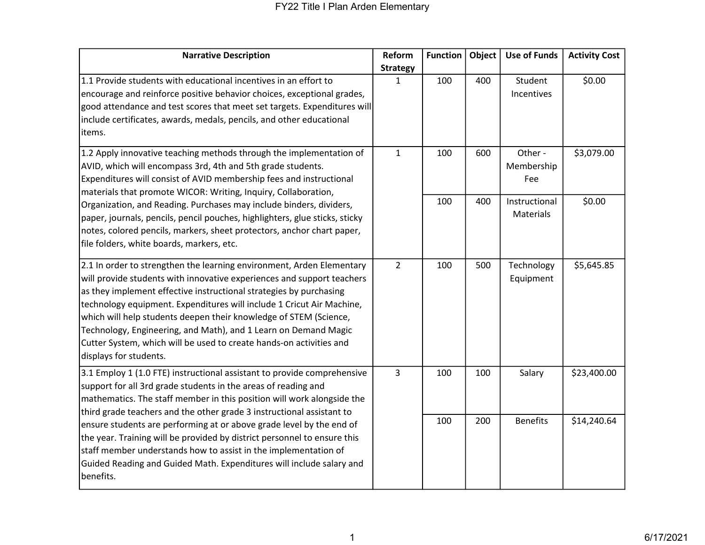| <b>Narrative Description</b>                                                                                                                                                                                                                                                                                                                                                                                                                                                                                                            | Reform          | <b>Function</b> | Object | <b>Use of Funds</b>          | <b>Activity Cost</b> |
|-----------------------------------------------------------------------------------------------------------------------------------------------------------------------------------------------------------------------------------------------------------------------------------------------------------------------------------------------------------------------------------------------------------------------------------------------------------------------------------------------------------------------------------------|-----------------|-----------------|--------|------------------------------|----------------------|
|                                                                                                                                                                                                                                                                                                                                                                                                                                                                                                                                         | <b>Strategy</b> |                 |        |                              |                      |
| 1.1 Provide students with educational incentives in an effort to<br>encourage and reinforce positive behavior choices, exceptional grades,<br>good attendance and test scores that meet set targets. Expenditures will<br>include certificates, awards, medals, pencils, and other educational<br>items.                                                                                                                                                                                                                                | $\mathbf{1}$    | 100             | 400    | Student<br>Incentives        | \$0.00               |
| $\mathbf{1}$<br>1.2 Apply innovative teaching methods through the implementation of<br>AVID, which will encompass 3rd, 4th and 5th grade students.<br>Expenditures will consist of AVID membership fees and instructional<br>materials that promote WICOR: Writing, Inquiry, Collaboration,                                                                                                                                                                                                                                             |                 | 100             | 600    | Other -<br>Membership<br>Fee | \$3,079.00           |
| Organization, and Reading. Purchases may include binders, dividers,<br>paper, journals, pencils, pencil pouches, highlighters, glue sticks, sticky<br>notes, colored pencils, markers, sheet protectors, anchor chart paper,<br>file folders, white boards, markers, etc.                                                                                                                                                                                                                                                               |                 | 100             | 400    | Instructional<br>Materials   | \$0.00               |
| 2.1 In order to strengthen the learning environment, Arden Elementary<br>will provide students with innovative experiences and support teachers<br>as they implement effective instructional strategies by purchasing<br>technology equipment. Expenditures will include 1 Cricut Air Machine,<br>which will help students deepen their knowledge of STEM (Science,<br>Technology, Engineering, and Math), and 1 Learn on Demand Magic<br>Cutter System, which will be used to create hands-on activities and<br>displays for students. | $\overline{2}$  | 100             | 500    | Technology<br>Equipment      | \$5,645.85           |
| 3.1 Employ 1 (1.0 FTE) instructional assistant to provide comprehensive<br>support for all 3rd grade students in the areas of reading and<br>mathematics. The staff member in this position will work alongside the<br>third grade teachers and the other grade 3 instructional assistant to                                                                                                                                                                                                                                            | 3               | 100             | 100    | Salary                       | \$23,400.00          |
| ensure students are performing at or above grade level by the end of<br>the year. Training will be provided by district personnel to ensure this<br>staff member understands how to assist in the implementation of<br>Guided Reading and Guided Math. Expenditures will include salary and<br>benefits.                                                                                                                                                                                                                                |                 | 100             | 200    | <b>Benefits</b>              | \$14,240.64          |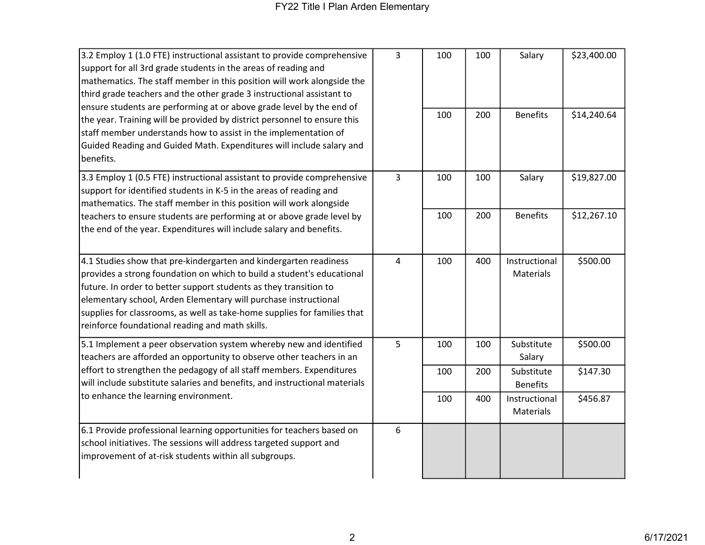| 3.2 Employ 1 (1.0 FTE) instructional assistant to provide comprehensive<br>support for all 3rd grade students in the areas of reading and<br>mathematics. The staff member in this position will work alongside the<br>third grade teachers and the other grade 3 instructional assistant to<br>ensure students are performing at or above grade level by the end of<br>the year. Training will be provided by district personnel to ensure this<br>staff member understands how to assist in the implementation of<br>Guided Reading and Guided Math. Expenditures will include salary and<br>benefits. | 3              | 100<br>100 | 100<br>200 | Salary<br><b>Benefits</b>     | \$23,400.00<br>\$14,240.64 |
|----------------------------------------------------------------------------------------------------------------------------------------------------------------------------------------------------------------------------------------------------------------------------------------------------------------------------------------------------------------------------------------------------------------------------------------------------------------------------------------------------------------------------------------------------------------------------------------------------------|----------------|------------|------------|-------------------------------|----------------------------|
|                                                                                                                                                                                                                                                                                                                                                                                                                                                                                                                                                                                                          |                |            |            |                               |                            |
| 3.3 Employ 1 (0.5 FTE) instructional assistant to provide comprehensive<br>support for identified students in K-5 in the areas of reading and<br>mathematics. The staff member in this position will work alongside                                                                                                                                                                                                                                                                                                                                                                                      | $\overline{3}$ | 100        | 100        | Salary                        | \$19,827.00                |
| teachers to ensure students are performing at or above grade level by<br>the end of the year. Expenditures will include salary and benefits.                                                                                                                                                                                                                                                                                                                                                                                                                                                             |                | 100        | 200        | <b>Benefits</b>               | \$12,267.10                |
| 4.1 Studies show that pre-kindergarten and kindergarten readiness<br>provides a strong foundation on which to build a student's educational<br>future. In order to better support students as they transition to<br>elementary school, Arden Elementary will purchase instructional<br>supplies for classrooms, as well as take-home supplies for families that<br>reinforce foundational reading and math skills.                                                                                                                                                                                       | 4              | 100        | 400        | Instructional<br>Materials    | \$500.00                   |
| 5.1 Implement a peer observation system whereby new and identified<br>teachers are afforded an opportunity to observe other teachers in an<br>effort to strengthen the pedagogy of all staff members. Expenditures<br>will include substitute salaries and benefits, and instructional materials<br>to enhance the learning environment.                                                                                                                                                                                                                                                                 | 5              | 100        | 100        | Substitute<br>Salary          | \$500.00                   |
|                                                                                                                                                                                                                                                                                                                                                                                                                                                                                                                                                                                                          |                | 100        | 200        | Substitute<br><b>Benefits</b> | \$147.30                   |
|                                                                                                                                                                                                                                                                                                                                                                                                                                                                                                                                                                                                          |                | 100        | 400        | Instructional<br>Materials    | \$456.87                   |
| 6.1 Provide professional learning opportunities for teachers based on<br>school initiatives. The sessions will address targeted support and<br>improvement of at-risk students within all subgroups.                                                                                                                                                                                                                                                                                                                                                                                                     | 6              |            |            |                               |                            |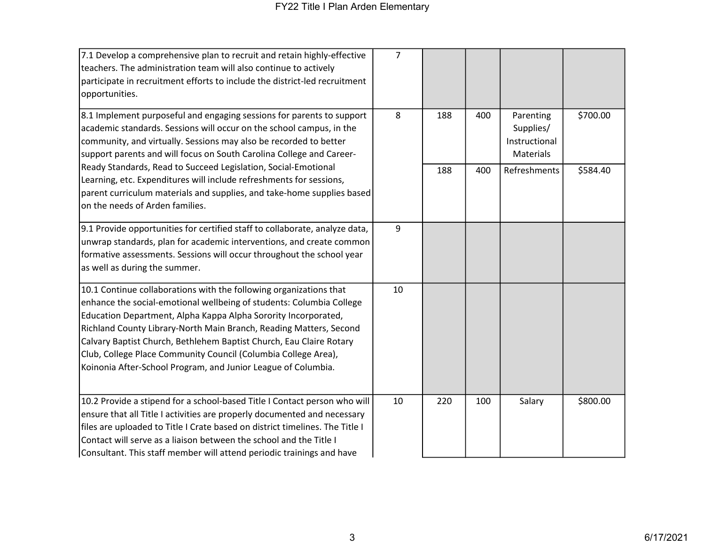| 7.1 Develop a comprehensive plan to recruit and retain highly-effective<br>teachers. The administration team will also continue to actively<br>participate in recruitment efforts to include the district-led recruitment<br>opportunities.                                                                                                                                                                                                                                                                                                      | $\overline{7}$ |     |     |                                                      |          |
|--------------------------------------------------------------------------------------------------------------------------------------------------------------------------------------------------------------------------------------------------------------------------------------------------------------------------------------------------------------------------------------------------------------------------------------------------------------------------------------------------------------------------------------------------|----------------|-----|-----|------------------------------------------------------|----------|
| 8.1 Implement purposeful and engaging sessions for parents to support<br>academic standards. Sessions will occur on the school campus, in the<br>community, and virtually. Sessions may also be recorded to better<br>support parents and will focus on South Carolina College and Career-<br>Ready Standards, Read to Succeed Legislation, Social-Emotional<br>Learning, etc. Expenditures will include refreshments for sessions,<br>parent curriculum materials and supplies, and take-home supplies based<br>on the needs of Arden families. | 8              | 188 | 400 | Parenting<br>Supplies/<br>Instructional<br>Materials | \$700.00 |
|                                                                                                                                                                                                                                                                                                                                                                                                                                                                                                                                                  |                | 188 | 400 | Refreshments                                         | \$584.40 |
| 9.1 Provide opportunities for certified staff to collaborate, analyze data,<br>unwrap standards, plan for academic interventions, and create common<br>formative assessments. Sessions will occur throughout the school year<br>as well as during the summer.                                                                                                                                                                                                                                                                                    | 9              |     |     |                                                      |          |
| 10.1 Continue collaborations with the following organizations that<br>enhance the social-emotional wellbeing of students: Columbia College<br>Education Department, Alpha Kappa Alpha Sorority Incorporated,<br>Richland County Library-North Main Branch, Reading Matters, Second<br>Calvary Baptist Church, Bethlehem Baptist Church, Eau Claire Rotary<br>Club, College Place Community Council (Columbia College Area),<br>Koinonia After-School Program, and Junior League of Columbia.                                                     | 10             |     |     |                                                      |          |
| 10.2 Provide a stipend for a school-based Title I Contact person who will<br>ensure that all Title I activities are properly documented and necessary<br>files are uploaded to Title I Crate based on district timelines. The Title I<br>Contact will serve as a liaison between the school and the Title I<br>Consultant. This staff member will attend periodic trainings and have                                                                                                                                                             | 10             | 220 | 100 | Salary                                               | \$800.00 |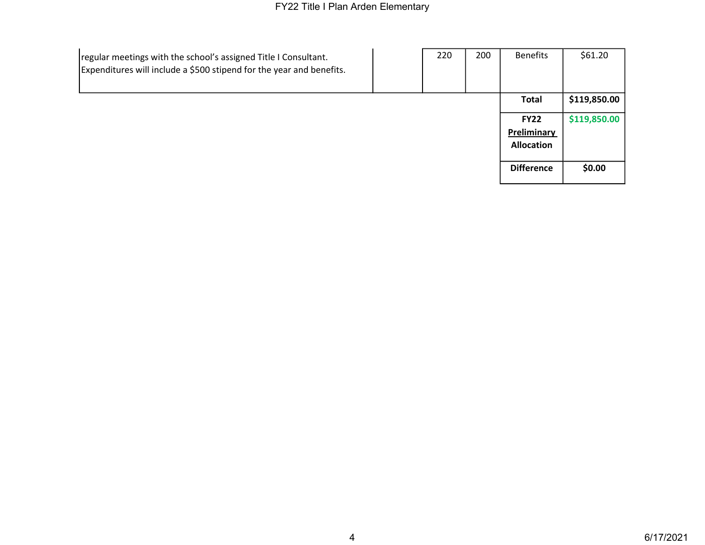| regular meetings with the school's assigned Title I Consultant.<br>Expenditures will include a \$500 stipend for the year and benefits. | 220 | 200 | <b>Benefits</b>   | \$61.20      |
|-----------------------------------------------------------------------------------------------------------------------------------------|-----|-----|-------------------|--------------|
|                                                                                                                                         |     |     | <b>Total</b>      | \$119,850.00 |
|                                                                                                                                         |     |     | <b>FY22</b>       | \$119,850.00 |
|                                                                                                                                         |     |     | Preliminary       |              |
|                                                                                                                                         |     |     | <b>Allocation</b> |              |
|                                                                                                                                         |     |     |                   |              |
|                                                                                                                                         |     |     | <b>Difference</b> | \$0.00       |